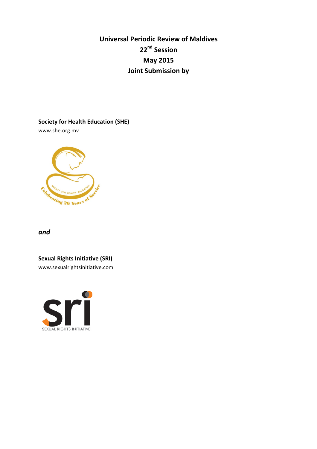# **Universal Periodic Review of Maldives 22nd Session May 2015 Joint Submission by**

**Society for Health Education (SHE)** 

www.she.org.mv



*and*

**Sexual Rights Initiative (SRI)** 

www.sexualrightsinitiative.com

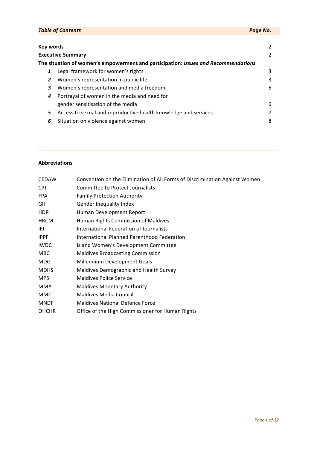| Key words |  |
|-----------|--|
|           |  |

## **Executive Summary** 2

| The situation of women's empowerment and participation: <i>Issues and Recommendations</i> |                                      |  |
|-------------------------------------------------------------------------------------------|--------------------------------------|--|
|                                                                                           | 1 Legal framework for women's rights |  |

- **2** Women's representation in public life 3
- **3** Women's representation and media freedom 5
- 4 Portrayal of women in the media and need for gender sensitisation of the media example of the media 6
- 5 Access to sexual and reproductive health knowledge and services 7
- **6** Situation on violence against women **8** 8

## **Abbreviations**

| <b>CEDAW</b> | Convention on the Elimination of All Forms of Discrimination Against Women |
|--------------|----------------------------------------------------------------------------|
| CPJ          | <b>Committee to Protect Journalists</b>                                    |
| FPA.         | <b>Family Protection Authority</b>                                         |
| GII          | <b>Gender Inequality Index</b>                                             |
| HDR.         | Human Development Report                                                   |
| <b>HRCM</b>  | Human Rights Commission of Maldives                                        |
| IFJ          | International Federation of Journalists                                    |
| <b>IPPF</b>  | International Planned Parenthood Federation                                |
| <b>IWDC</b>  | Island Women's Development Committee                                       |
| MBC          | <b>Maldives Broadcasting Commission</b>                                    |
| <b>MDG</b>   | Millennium Development Goals                                               |
| <b>MDHS</b>  | Maldives Demographic and Health Survey                                     |
| <b>MPS</b>   | <b>Maldives Police Service</b>                                             |
| MMA          | <b>Maldives Monetary Authority</b>                                         |
| MMC          | <b>Maldives Media Council</b>                                              |
| <b>MNDF</b>  | <b>Maldives National Defence Force</b>                                     |
| <b>OHCHR</b> | Office of the High Commissioner for Human Rights                           |
|              |                                                                            |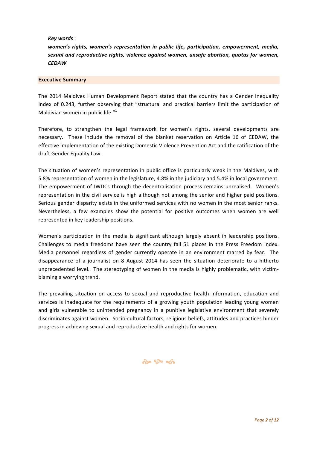*Key words* : 

*women's rights, women's representation in public life, participation, empowerment, media,* sexual and reproductive rights, violence against women, unsafe abortion, quotas for women, *CEDAW*

#### **Executive Summary**

The 2014 Maldives Human Development Report stated that the country has a Gender Inequality Index of 0.243, further observing that "structural and practical barriers limit the participation of Maldivian women in public life." $1$ 

Therefore, to strengthen the legal framework for women's rights, several developments are necessary. These include the removal of the blanket reservation on Article 16 of CEDAW, the effective implementation of the existing Domestic Violence Prevention Act and the ratification of the draft Gender Equality Law.

The situation of women's representation in public office is particularly weak in the Maldives, with 5.8% representation of women in the legislature, 4.8% in the judiciary and 5.4% in local government. The empowerment of IWDCs through the decentralisation process remains unrealised. Women's representation in the civil service is high although not among the senior and higher paid positions. Serious gender disparity exists in the uniformed services with no women in the most senior ranks. Nevertheless, a few examples show the potential for positive outcomes when women are well represented in key leadership positions.

Women's participation in the media is significant although largely absent in leadership positions. Challenges to media freedoms have seen the country fall 51 places in the Press Freedom Index. Media personnel regardless of gender currently operate in an environment marred by fear. The disappearance of a journalist on 8 August 2014 has seen the situation deteriorate to a hitherto unprecedented level. The stereotyping of women in the media is highly problematic, with victimblaming a worrying trend.

The prevailing situation on access to sexual and reproductive health information, education and services is inadequate for the requirements of a growing youth population leading young women and girls vulnerable to unintended pregnancy in a punitive legislative environment that severely discriminates against women. Socio-cultural factors, religious beliefs, attitudes and practices hinder progress in achieving sexual and reproductive health and rights for women.

# $\hat{\mathbf{c}}$   $\mathbf{c}$   $\mathbf{c}$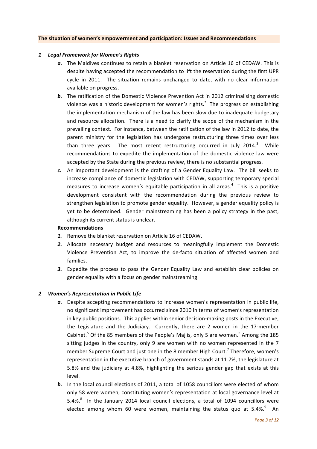#### **The situation of women's empowerment and participation: Issues and Recommendations**

#### *1 Legal Framework for Women's Rights*

- a. The Maldives continues to retain a blanket reservation on Article 16 of CEDAW. This is despite having accepted the recommendation to lift the reservation during the first UPR cycle in 2011. The situation remains unchanged to date, with no clear information available on progress.
- **b.** The ratification of the Domestic Violence Prevention Act in 2012 criminalising domestic violence was a historic development for women's rights.<sup>2</sup> The progress on establishing the implementation mechanism of the law has been slow due to inadequate budgetary and resource allocation. There is a need to clarify the scope of the mechanism in the prevailing context. For instance, between the ratification of the law in 2012 to date, the parent ministry for the legislation has undergone restructuring three times over less than three years. The most recent restructuring occurred in July 2014.<sup>3</sup> While recommendations to expedite the implementation of the domestic violence law were accepted by the State during the previous review, there is no substantial progress.
- c. An important development is the drafting of a Gender Equality Law. The bill seeks to increase compliance of domestic legislation with CEDAW, supporting temporary special measures to increase women's equitable participation in all areas.<sup>4</sup> This is a positive development consistent with the recommendation during the previous review to strengthen legislation to promote gender equality. However, a gender equality policy is yet to be determined. Gender mainstreaming has been a policy strategy in the past, although its current status is unclear.

#### **Recommendations**

- 1. Remove the blanket reservation on Article 16 of CEDAW.
- 2. Allocate necessary budget and resources to meaningfully implement the Domestic Violence Prevention Act, to improve the de-facto situation of affected women and families.
- **3.** Expedite the process to pass the Gender Equality Law and establish clear policies on gender equality with a focus on gender mainstreaming.

#### 2 *Women's Representation in Public Life*

- a. Despite accepting recommendations to increase women's representation in public life, no significant improvement has occurred since 2010 in terms of women's representation in key public positions. This applies within senior decision-making posts in the Executive, the Legislature and the Judiciary. Currently, there are 2 women in the 17-member Cabinet.<sup>5</sup> Of the 85 members of the People's Majlis, only 5 are women.<sup>6</sup> Among the 185 sitting judges in the country, only 9 are women with no women represented in the 7 member Supreme Court and just one in the 8 member High Court.<sup>7</sup> Therefore, women's representation in the executive branch of government stands at 11.7%, the legislature at 5.8% and the judiciary at 4.8%, highlighting the serious gender gap that exists at this level.
- **b.** In the local council elections of 2011, a total of 1058 councillors were elected of whom only 58 were women, constituting women's representation at local governance level at 5.4%. $8$  In the January 2014 local council elections, a total of 1094 councillors were elected among whom 60 were women, maintaining the status quo at 5.4%. $^{9}$  An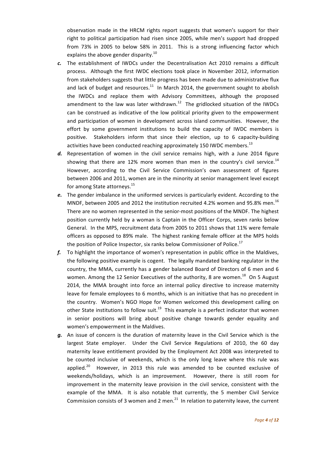observation made in the HRCM rights report suggests that women's support for their right to political participation had risen since 2005, while men's support had dropped from 73% in 2005 to below 58% in 2011. This is a strong influencing factor which explains the above gender disparity.<sup>10</sup>

- c. The establishment of IWDCs under the Decentralisation Act 2010 remains a difficult process. Although the first IWDC elections took place in November 2012, information from stakeholders suggests that little progress has been made due to administrative flux and lack of budget and resources. $^{11}$  In March 2014, the government sought to abolish the IWDCs and replace them with Advisory Committees, although the proposed amendment to the law was later withdrawn.<sup>12</sup> The gridlocked situation of the IWDCs can be construed as indicative of the low political priority given to the empowerment and participation of women in development across island communities. However, the effort by some government institutions to build the capacity of IWDC members is positive. Stakeholders inform that since their election, up to 6 capacity-building activities have been conducted reaching approximately 150 IWDC members.<sup>13</sup>
- d. Representation of women in the civil service remains high, with a June 2014 figure showing that there are 12% more women than men in the country's civil service.<sup>14</sup> However, according to the Civil Service Commission's own assessment of figures between 2006 and 2011, women are in the minority at senior management level except for among State attorneys. $^{15}$
- e. The gender imbalance in the uniformed services is particularly evident. According to the MNDF, between 2005 and 2012 the institution recruited 4.2% women and 95.8% men.<sup>16</sup> There are no women represented in the senior-most positions of the MNDF. The highest position currently held by a woman is Captain in the Officer Corps, seven ranks below General. In the MPS, recruitment data from 2005 to 2011 shows that 11% were female officers as opposed to 89% male. The highest ranking female officer at the MPS holds the position of Police Inspector, six ranks below Commissioner of Police.<sup>17</sup>
- *f.* To highlight the importance of women's representation in public office in the Maldives, the following positive example is cogent. The legally mandated banking regulator in the country, the MMA, currently has a gender balanced Board of Directors of 6 men and 6 women. Among the 12 Senior Executives of the authority, 8 are women.<sup>18</sup> On 5 August 2014, the MMA brought into force an internal policy directive to increase maternity leave for female employees to 6 months, which is an initiative that has no precedent in the country. Women's NGO Hope for Women welcomed this development calling on other State institutions to follow suit.<sup>19</sup> This example is a perfect indicator that women in senior positions will bring about positive change towards gender equality and women's empowerment in the Maldives.
- **g.** An issue of concern is the duration of maternity leave in the Civil Service which is the largest State employer. Under the Civil Service Regulations of 2010, the 60 day maternity leave entitlement provided by the Employment Act 2008 was interpreted to be counted inclusive of weekends, which is the only long leave where this rule was applied. $^{20}$  However, in 2013 this rule was amended to be counted exclusive of weekends/holidays, which is an improvement. However, there is still room for improvement in the maternity leave provision in the civil service, consistent with the example of the MMA. It is also notable that currently, the 5 member Civil Service Commission consists of 3 women and 2 men.<sup>21</sup> In relation to paternity leave, the current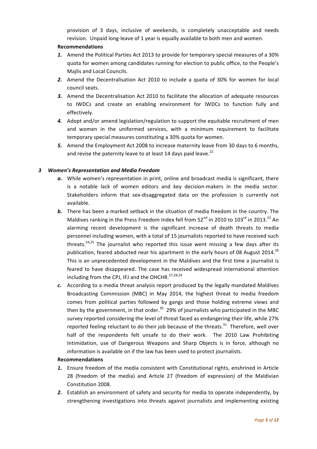provision of 3 days, inclusive of weekends, is completely unacceptable and needs revision. Unpaid long-leave of 1 year is equally available to both men and women.

## **Recommendations**

- **1.** Amend the Political Parties Act 2013 to provide for temporary special measures of a 30% quota for women among candidates running for election to public office, to the People's Majlis and Local Councils.
- **2.** Amend the Decentralisation Act 2010 to include a quota of 30% for women for local council seats.
- **3.** Amend the Decentralisation Act 2010 to facilitate the allocation of adequate resources to IWDCs and create an enabling environment for IWDCs to function fully and effectively.
- 4. Adopt and/or amend legislation/regulation to support the equitable recruitment of men and women in the uniformed services, with a minimum requirement to facilitate temporary special measures constituting a 30% quota for women.
- **5.** Amend the Employment Act 2008 to increase maternity leave from 30 days to 6 months, and revise the paternity leave to at least 14 days paid leave.<sup>22</sup>

## *3 Women's Representation and Media Freedom*

- a. While women's representation in print, online and broadcast media is significant, there is a notable lack of women editors and key decision-makers in the media sector. Stakeholders inform that sex-disaggregated data on the profession is currently not available.
- **b.** There has been a marked setback in the situation of media freedom in the country. The Maldives ranking in the Press Freedom Index fell from  $52^{nd}$  in 2010 to  $103^{rd}$  in 2013.<sup>23</sup> An alarming recent development is the significant increase of death threats to media personnel including women, with a total of 15 journalists reported to have received such threats.<sup>24,25</sup> The journalist who reported this issue went missing a few days after its publication, feared abducted near his apartment in the early hours of 08 August 2014.<sup>26</sup> This is an unprecedented development in the Maldives and the first time a journalist is feared to have disappeared. The case has received widespread international attention including from the CPJ, IFJ and the OHCHR.<sup>27,28,29</sup>
- c. According to a media threat analysis report produced by the legally mandated Maldives Broadcasting Commission (MBC) in May 2014, the highest threat to media freedom comes from political parties followed by gangs and those holding extreme views and then by the government, in that order.<sup>30</sup> 29% of journalists who participated in the MBC survey reported considering the level of threat faced as endangering their life, while 27% reported feeling reluctant to do their job because of the threats. $^{31}$  Therefore, well over half of the respondents felt unsafe to do their work. The 2010 Law Prohibiting Intimidation, use of Dangerous Weapons and Sharp Objects is in force, although no information is available on if the law has been used to protect journalists.

### **Recommendations**

- **1.** Ensure freedom of the media consistent with Constitutional rights, enshrined in Article 28 (freedom of the media) and Article 27 (freedom of expression) of the Maldivian Constitution 2008.
- **2.** Establish an environment of safety and security for media to operate independently, by strengthening investigations into threats against journalists and implementing existing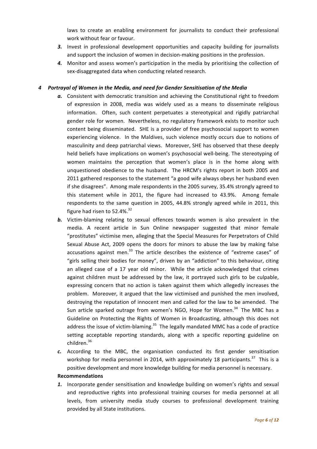laws to create an enabling environment for journalists to conduct their professional work without fear or favour.

- **3.** Invest in professional development opportunities and capacity building for journalists and support the inclusion of women in decision-making positions in the profession.
- 4. Monitor and assess women's participation in the media by prioritising the collection of sex-disaggregated data when conducting related research.

## *4 Portrayal of Women in the Media, and need for Gender Sensitisation of the Media*

- a. Consistent with democratic transition and achieving the Constitutional right to freedom of expression in 2008, media was widely used as a means to disseminate religious information. Often, such content perpetuates a stereotypical and rigidly patriarchal gender role for women. Nevertheless, no regulatory framework exists to monitor such content being disseminated. SHE is a provider of free psychosocial support to women experiencing violence. In the Maldives, such violence mostly occurs due to notions of masculinity and deep patriarchal views. Moreover, SHE has observed that these deeply held beliefs have implications on women's psychosocial well-being. The stereotyping of women maintains the perception that women's place is in the home along with unquestioned obedience to the husband. The HRCM's rights report in both 2005 and 2011 gathered responses to the statement "a good wife always obeys her husband even if she disagrees". Among male respondents in the 2005 survey, 35.4% strongly agreed to this statement while in  $2011$ , the figure had increased to  $43.9\%$ . Among female respondents to the same question in 2005, 44.8% strongly agreed while in 2011, this figure had risen to  $52.4\%$ .<sup>32</sup>
- **b.** Victim-blaming relating to sexual offences towards women is also prevalent in the media. A recent article in Sun Online newspaper suggested that minor female "prostitutes" victimise men, alleging that the Special Measures for Perpetrators of Child Sexual Abuse Act, 2009 opens the doors for minors to abuse the law by making false accusations against men.<sup>33</sup> The article describes the existence of "extreme cases" of "girls selling their bodies for money", driven by an "addiction" to this behaviour, citing an alleged case of a 17 year old minor. While the article acknowledged that crimes against children must be addressed by the law, it portrayed such girls to be culpable, expressing concern that no action is taken against them which allegedly increases the problem. Moreover, it argued that the law victimised and punished the men involved, destroying the reputation of innocent men and called for the law to be amended. The Sun article sparked outrage from women's NGO, Hope for Women.<sup>34</sup> The MBC has a Guideline on Protecting the Rights of Women in Broadcasting, although this does not address the issue of victim-blaming.<sup>35</sup> The legally mandated MMC has a code of practice setting acceptable reporting standards, along with a specific reporting guideline on children.<sup>36</sup>
- c. According to the MBC, the organisation conducted its first gender sensitisation workshop for media personnel in 2014, with approximately 18 participants.<sup>37</sup> This is a positive development and more knowledge building for media personnel is necessary.

## **Recommendations**

**1.** Incorporate gender sensitisation and knowledge building on women's rights and sexual and reproductive rights into professional training courses for media personnel at all levels, from university media study courses to professional development training provided by all State institutions.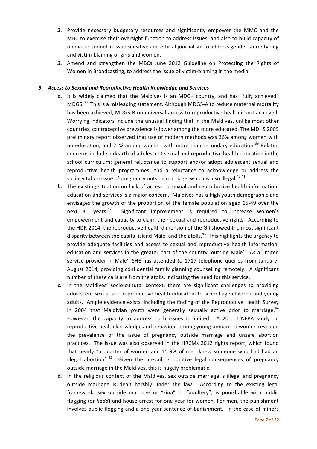- **2.** Provide necessary budgetary resources and significantly empower the MMC and the MBC to exercise their oversight function to address issues, and also to build capacity of media personnel in issue sensitive and ethical journalism to address gender stereotyping and victim-blaming of girls and women.
- **3.** Amend and strengthen the MBCs June 2012 Guideline on Protecting the Rights of Women in Broadcasting, to address the issue of victim-blaming in the media.

### **5** Access to Sexual and Reproductive Health Knowledge and Services

- a. It is widely claimed that the Maldives is an MDG+ country, and has "fully achieved" MDG5. $38$  This is a misleading statement. Although MDG5-A to reduce maternal mortality has been achieved, MDG5-B on universal access to reproductive health is not achieved. Worrying indicators include the unusual finding that in the Maldives, unlike most other countries, contraceptive prevalence is lower among the more educated. The MDHS 2009 preliminary report observed that use of modern methods was 36% among women with no education, and 21% among women with more than secondary education.<sup>39</sup> Related concerns include a dearth of adolescent sexual and reproductive health education in the school curriculum; general reluctance to support and/or adopt adolescent sexual and reproductive health programmes; and a reluctance to acknowledge or address the socially taboo issue of pregnancy outside marriage, which is also illegal.<sup>40,41</sup>
- **b.** The existing situation on lack of access to sexual and reproductive health information, education and services is a major concern. Maldives has a high youth demographic and envisages the growth of the proportion of the female population aged 15-49 over the next 30 years. $42$  Significant improvement is required to increase women's empowerment and capacity to claim their sexual and reproductive rights. According to the HDR 2014, the reproductive health dimension of the GII showed the most significant disparity between the capital island Male' and the atolls.<sup>43</sup> This highlights the urgency to provide adequate facilities and access to sexual and reproductive health information, education and services in the greater part of the country, outside Male'. As a limited service provider in Male', SHE has attended to 1717 telephone queries from January-August 2014, providing confidential family planning counselling remotely. A significant number of these calls are from the atolls, indicating the need for this service.
- c. In the Maldives' socio-cultural context, there are significant challenges to providing adolescent sexual and reproductive health education to school age children and young adults. Ample evidence exists, including the finding of the Reproductive Health Survey in 2004 that Maldivian youth were generally sexually active prior to marriage.<sup>44</sup> However, the capacity to address such issues is limited. A 2011 UNFPA study on reproductive health knowledge and behaviour among young unmarried women revealed the prevalence of the issue of pregnancy outside marriage and unsafe abortion practices. The issue was also observed in the HRCMs 2012 rights report, which found that nearly "a quarter of women and 15.9% of men knew someone who had had an illegal abortion".<sup>45</sup> Given the prevailing punitive legal consequences of pregnancy outside marriage in the Maldives, this is hugely problematic.
- d. In the religious context of the Maldives, sex outside marriage is illegal and pregnancy outside marriage is dealt harshly under the law. According to the existing legal framework, sex outside marriage or "zina" or "adultery", is punishable with public flogging (or *hadd*) and house arrest for one year for women. For men, the punishment involves public flogging and a one year sentence of banishment. In the case of minors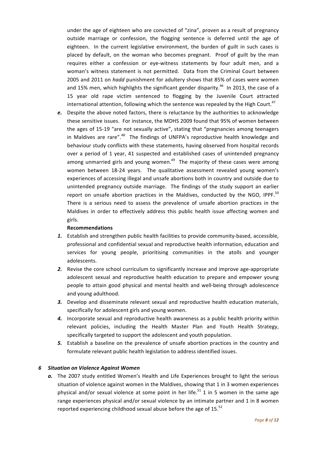under the age of eighteen who are convicted of "zina", proven as a result of pregnancy outside marriage or confession, the flogging sentence is deferred until the age of eighteen. In the current legislative environment, the burden of guilt in such cases is placed by default, on the woman who becomes pregnant. Proof of guilt by the man requires either a confession or eye-witness statements by four adult men, and a woman's witness statement is not permitted. Data from the Criminal Court between 2005 and 2011 on *hadd* punishment for adultery shows that 85% of cases were women and 15% men, which highlights the significant gender disparity.<sup>46</sup> In 2013, the case of a 15 year old rape victim sentenced to flogging by the Juvenile Court attracted international attention, following which the sentence was repealed by the High Court.<sup>47</sup>

e. Despite the above noted factors, there is reluctance by the authorities to acknowledge these sensitive issues. For instance, the MDHS 2009 found that 95% of women between the ages of 15-19 "are not sexually active", stating that "pregnancies among teenagers in Maldives are rare". $48$  The findings of UNFPA's reproductive health knowledge and behaviour study conflicts with these statements, having observed from hospital records over a period of 1 year, 41 suspected and established cases of unintended pregnancy among unmarried girls and young women. $49$  The majority of these cases were among women between 18-24 years. The qualitative assessment revealed young women's experiences of accessing illegal and unsafe abortions both in country and outside due to unintended pregnancy outside marriage. The findings of the study support an earlier report on unsafe abortion practices in the Maldives, conducted by the NGO, IPPF. $50$ There is a serious need to assess the prevalence of unsafe abortion practices in the Maldives in order to effectively address this public health issue affecting women and girls.

### **Recommendations**

- 1. Establish and strengthen public health facilities to provide community-based, accessible, professional and confidential sexual and reproductive health information, education and services for young people, prioritising communities in the atolls and younger adolescents.
- **2.** Revise the core school curriculum to significantly increase and improve age-appropriate adolescent sexual and reproductive health education to prepare and empower young people to attain good physical and mental health and well-being through adolescence and young adulthood.
- **3.** Develop and disseminate relevant sexual and reproductive health education materials, specifically for adolescent girls and young women.
- 4. Incorporate sexual and reproductive health awareness as a public health priority within relevant policies, including the Health Master Plan and Youth Health Strategy, specifically targeted to support the adolescent and youth population.
- **5.** Establish a baseline on the prevalence of unsafe abortion practices in the country and formulate relevant public health legislation to address identified issues.

#### *6 Situation on Violence Against Women*

a. The 2007 study entitled Women's Health and Life Experiences brought to light the serious situation of violence against women in the Maldives, showing that 1 in 3 women experiences physical and/or sexual violence at some point in her life.<sup>51</sup> 1 in 5 women in the same age range experiences physical and/or sexual violence by an intimate partner and 1 in 8 women reported experiencing childhood sexual abuse before the age of 15. $52$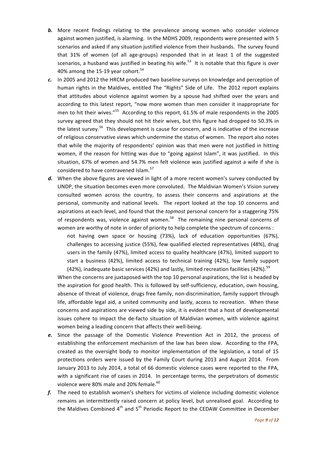- **b.** More recent findings relating to the prevalence among women who consider violence against women justified, is alarming. In the MDHS 2009, respondents were presented with 5 scenarios and asked if any situation justified violence from their husbands. The survey found that 31% of women (of all age-groups) responded that in at least 1 of the suggested scenarios, a husband was justified in beating his wife.<sup>53</sup> It is notable that this figure is over 40% among the 15-19 year cohort. $54$
- c. In 2005 and 2012 the HRCM produced two baseline surveys on knowledge and perception of human rights in the Maldives, entitled The "Rights" Side of Life. The 2012 report explains that attitudes about violence against women by a spouse had shifted over the years and according to this latest report, "now more women than men consider it inappropriate for men to hit their wives."<sup>55</sup> According to this report, 61.5% of male respondents in the 2005 survey agreed that they should not hit their wives, but this figure had dropped to 50.3% in the latest survey.<sup>56</sup> This development is cause for concern, and is indicative of the increase of religious conservative views which undermine the status of women. The report also notes that while the majority of respondents' opinion was that men were not justified in hitting women, if the reason for hitting was due to "going against Islam", it was justified. In this situation, 67% of women and 54.7% men felt violence was justified against a wife if she is considered to have contravened Islam.<sup>57</sup>
- d. When the above figures are viewed in light of a more recent women's survey conducted by UNDP, the situation becomes even more convoluted. The Maldivian Women's Vision survey consulted women across the country, to assess their concerns and aspirations at the personal, community and national levels. The report looked at the top 10 concerns and aspirations at each level, and found that the *topmost* personal concern for a staggering 75% of respondents was, violence against women.<sup>58</sup> The remaining nine personal concerns of women are worthy of note in order of priority to help complete the spectrum of concerns :

not having own space or housing (73%), lack of education opportunities (67%), challenges to accessing justice (55%), few qualified elected representatives (48%), drug users in the family (47%), limited access to quality healthcare (47%), limited support to start a business (42%), limited access to technical training (42%), low family support (42%), inadequate basic services (42%) and lastly, limited recreation facilities (42%).<sup>59</sup>

When the concerns are juxtaposed with the top 10 personal aspirations, the list is headed by the aspiration for good health. This is followed by self-sufficiency, education, own housing, absence of threat of violence, drugs free family, non-discrimination, family support through life, affordable legal aid, a united community and lastly, access to recreation. When these concerns and aspirations are viewed side by side, it is evident that a host of developmental issues cohere to impact the de-facto situation of Maldivian women, with violence against women being a leading concern that affects their well-being.

- e. Since the passage of the Domestic Violence Prevention Act in 2012, the process of establishing the enforcement mechanism of the law has been slow. According to the FPA, created as the oversight body to monitor implementation of the legislation, a total of 15 protections orders were issued by the Family Court during 2013 and August 2014. From January 2013 to July 2014, a total of 66 domestic violence cases were reported to the FPA, with a significant rise of cases in 2014. In percentage terms, the perpetrators of domestic violence were 80% male and 20% female.<sup>60</sup>
- *f.* The need to establish women's shelters for victims of violence including domestic violence remains an intermittently raised concern at policy level, but unrealised goal. According to the Maldives Combined  $4<sup>th</sup>$  and  $5<sup>th</sup>$  Periodic Report to the CEDAW Committee in December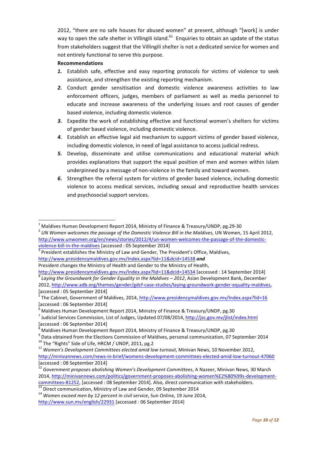2012, "there are no safe houses for abused women" at present, although "[work] is under way to open the safe shelter in Villingili island.<sup>61</sup> Enquiries to obtain an update of the status from stakeholders suggest that the Villingili shelter is not a dedicated service for women and not entirely functional to serve this purpose.

## **Recommendations**

 

- 1. Establish safe, effective and easy reporting protocols for victims of violence to seek assistance, and strengthen the existing reporting mechanism.
- 2. Conduct gender sensitisation and domestic violence awareness activities to law enforcement officers, judges, members of parliament as well as media personnel to educate and increase awareness of the underlying issues and root causes of gender based violence, including domestic violence.
- **3.** Expedite the work of establishing effective and functional women's shelters for victims of gender based violence, including domestic violence.
- 4. Establish an effective legal aid mechanism to support victims of gender based violence, including domestic violence, in need of legal assistance to access judicial redress.
- **5.** Develop, disseminate and utilise communications and educational material which provides explanations that support the equal position of men and women within Islam underpinned by a message of non-violence in the family and toward women.
- **6.** Strengthen the referral system for victims of gender based violence, including domestic violence to access medical services, including sexual and reproductive health services and psychosocial support services.

<sup>&</sup>lt;sup>1</sup> Maldives Human Development Report 2014, Ministry of Finance & Treasury/UNDP, pg.29-30<br><sup>2</sup> *UN Women welcomes the passage of the Domestic Violence Bill in the Maldives*, UN Women, 15 April 2012, http://www.unwomen.org/en/news/stories/2012/4/un-women-welcomes-the-passage-of-the-domesticviolence-bill-in-the-maldives [accessed : 05 September 2014]<br> $\frac{3}{3}$  President establishes the Ministry of Law and Gender, The President's Office, Maldives,

http://www.presidencymaldives.gov.mv/Index.aspx?lid=11&dcid=14538 *and*

President changes the Ministry of Health and Gender to the Ministry of Health,

http://www.presidencymaldives.gov.mv/Index.aspx?lid=11&dcid=14534 [accessed : 14 September 2014]<br><sup>4</sup> Laying the Groundwork for Gender Equality in the Maldives – 2012, Asian Development Bank, December 2012, http://www.adb.org/themes/gender/gdcf-case-studies/laying-groundwork-gender-equality-maldives, [accessed : 05 September 2014]

 $<sup>5</sup>$  The Cabinet, Government of Maldives, 2014, http://www.presidencymaldives.gov.mv/Index.aspx?lid=16</sup> [accessed : 06 September 2014]

<sup>&</sup>lt;sup>6</sup> Maldives Human Development Report 2014, Ministry of Finance & Treasury/UNDP, pg.30  $^7$  Judicial Services Commission, List of Judges, Updated 07/08/2014, http://jsc.gov.mv/jlist/index.html [accessed : 06 September 2014]

<sup>&</sup>lt;sup>8</sup> Maldives Human Development Report 2014, Ministry of Finance & Treasury/UNDP, pg.30<br><sup>9</sup> Data obtained from the Elections Commission of Maldives, personal communication, 07 September 2014

<sup>&</sup>lt;sup>10</sup> The "Rights" Side of Life, HRCM / UNDP, 2011, pg.2<br><sup>11</sup> Women's Development Committees elected amid low turnout, Minivan News, 10 November 2012, http://minivannews.com/news-in-brief/womens-development-committees-elected-amid-low-turnout-47060 [accessed : 08 September 2014]

<sup>&</sup>lt;sup>12</sup> Government proposes abolishing Women's Development Committees, A Nazeer, Minivan News, 30 March 2014, http://minivannews.com/politics/government-proposes-abolishing-women%E2%80%99s-developmentcommittees-81252, [accessed : 08 September 2014]. Also, direct communication with stakeholders.<br>
<sup>13</sup> Direct communication, Ministry of Law and Gender, 09 September 2014<br>
<sup>14</sup> Women exceed men by 12 percent in civil servi

http://www.sun.mv/english/22931 [accessed : 06 September 2014]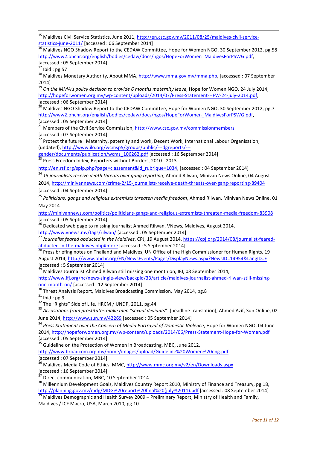<sup>15</sup> Maldives Civil Service Statistics, June 2011, http://en.csc.gov.mv/2011/08/25/maldives-civil-service- $\frac{\text{statistics-june-2011}}{\text{16}}$  [accessed : 06 September 2014]<br> $\frac{16}{\text{6}}$  Maldives NGO Shadow Report to the CEDAW Committee, Hope for Women NGO, 30 September 2012, pg.58

http://www2.ohchr.org/english/bodies/cedaw/docs/ngos/HopeForWomen\_MaldivesForPSWG.pdf, [accessed : 05 September 2014]

<u> 1989 - Andrea Santa Andrea Andrea Andrea Andrea Andrea Andrea Andrea Andrea Andrea Andrea Andrea Andrea Andr</u>

<sup>17</sup> Ibid : pg.57<br><sup>18</sup> Maldives Monetary Authority, About MMA, http://www.mma.gov.mv/mma.php, [accessed : 07 September 2014]

19<br><sup>19</sup> On the MMA's policy decision to provide 6 months maternity leave, Hope for Women NGO, 24 July 2014, http://hopeforwomen.org.mv/wp-content/uploads/2014/07/Press-Statement-HFW-24-july-2014.pdf, [accessed : 06 September 2014]

 $^{20}$  Maldives NGO Shadow Report to the CEDAW Committee, Hope for Women NGO, 30 September 2012, pg.7 http://www2.ohchr.org/english/bodies/cedaw/docs/ngos/HopeForWomen\_MaldivesForPSWG.pdf, 

[accessed : 05 September 2014]<br><sup>21</sup> Members of the Civil Service Commission, http://www.csc.gov.mv/commissionmembers [accessed : 07 September 2014]

 $^{22}$  Protect the future : Maternity, paternity and work, Decent Work, International Labour Organisation, (undated), http://www.ilo.org/wcmsp5/groups/public/---dgreports/---

gender/documents/publication/wcms\_106262.pdf [accessed : 16 September 2014]<br><sup>23</sup> Press Freedom Index, Reporters without Borders, 2010 - 2013

http://en.rsf.org/spip.php?page=classement&id rubrique=1034, [accessed : 04 September 2014]

<sup>24</sup> 15 *journalists receive death threats over gang reporting*, Ahmed Rilwan, Minivan News Online, 04 August

2014, http://minivannews.com/crime-2/15-journalists-receive-death-threats-over-gang-reporting-89404

[accessed : 04 September 2014]

<sup>25</sup> Politicians, gangs and religious extremists threaten media freedom, Ahmed Rilwan, Minivan News Online, 01 May 2014

http://minivannews.com/politics/politicians-gangs-and-religious-extremists-threaten-media-freedom-83908 [accessed : 05 September 2014]

<sup>26</sup> Dedicated web page to missing journalist Ahmed Rilwan, VNews, Maldives, August 2014,<br>http://www.vnews.mv/tags/rilwan/ [accessed : 05 September 2014]

Journalist feared abducted in the Maldives, CPJ, 19 August 2014, https://cpj.org/2014/08/journalist-fearedabducted-in-the-maldives.php#more [accessed : 5 September 2014]<br><sup>28</sup> Press briefing notes on Thailand and Maldives, UN Office of the High Commissioner for Human Rights, 19

August 2014, http://www.ohchr.org/EN/NewsEvents/Pages/DisplayNews.aspx?NewsID=14954&LangID=E [accessed : 5 September 2014]

<sup>29</sup> Maldives Journalist Ahmed Rilwan still missing one month on, IFJ, 08 September 2014,

http://www.ifj.org/nc/news-single-view/backpid/33/article/maldives-journalist-ahmed-rilwan-still-missingone-month-on/ [accessed : 12 September 2014]<br>
<sup>30</sup> Threat Analysis Report, Maldives Broadcasting Commission, May 2014, pg.8<br>
<sup>31</sup> Ibid : pg.9<br>
<sup>32</sup> The "Rights" Side of Life, HRCM / UNDP, 2011, pg.44<br>
<sup>33</sup> Accusations from

June 2014, http://www.sun.mv/42269 [accessed : 05 September 2014]

<sup>34</sup> Press Statement over the Concern of Media Portrayal of Domestic Violence, Hope for Women NGO, 04 June 2014, http://hopeforwomen.org.mv/wp-content/uploads/2014/06/Press-Statement-Hope-for-Women.pdf [accessed : 05 September 2014]

 $35$  Guideline on the Protection of Women in Broadcasting, MBC, June 2012,

http://www.broadcom.org.mv/home/images/upload/Guideline%20Women%20eng.pdf [accessed : 07 September 2014]

 $36$  Maldives Media Code of Ethics, MMC, http://www.mmc.org.mv/v2/en/Downloads.aspx  $\frac{1}{37}$ [accessed : 16 September 2014]

 $37$  Direct communication, MBC, 10 September 2014<br> $38$  Millennium Development Goals, Maldives Country Report 2010, Ministry of Finance and Treasury, pg.18, http://planning.gov.mv/mdg/MDG%20report%20final%20(july%2011).pdf [accessed : 08 September 2014]<br><sup>39</sup> Maldives Demographic and Health Survey 2009 – Preliminary Report, Ministry of Health and Family,

Maldives / ICF Macro, USA, March 2010, pg.10